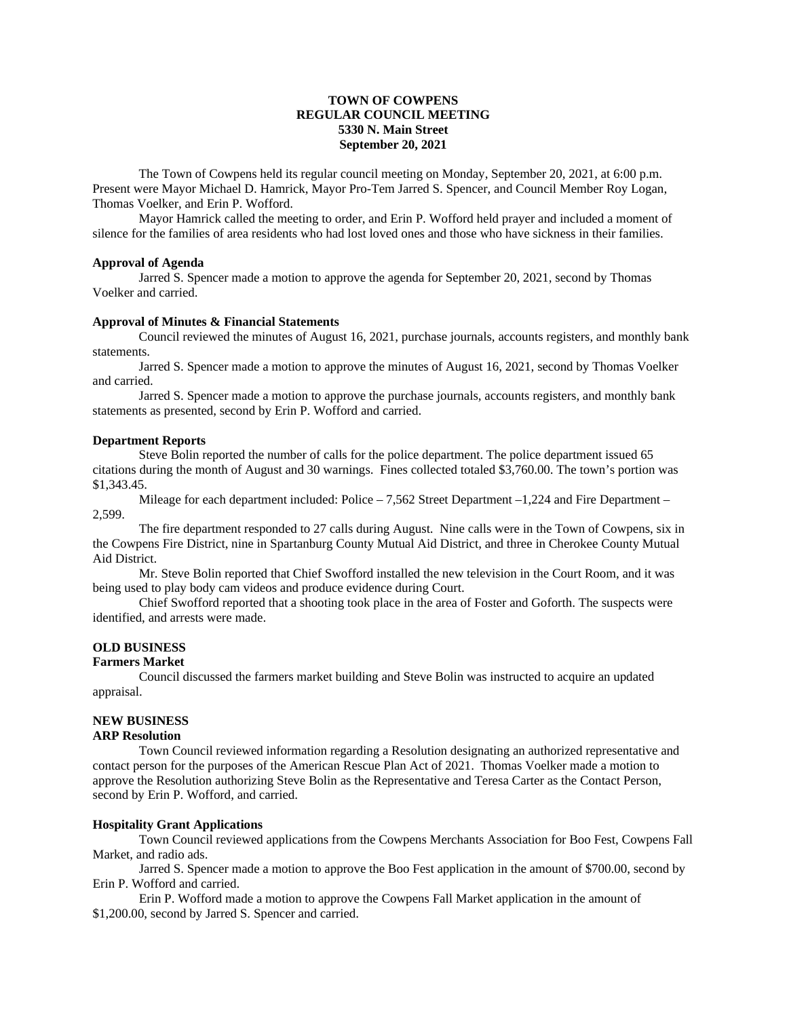# **TOWN OF COWPENS REGULAR COUNCIL MEETING 5330 N. Main Street September 20, 2021**

The Town of Cowpens held its regular council meeting on Monday, September 20, 2021, at 6:00 p.m. Present were Mayor Michael D. Hamrick, Mayor Pro-Tem Jarred S. Spencer, and Council Member Roy Logan, Thomas Voelker, and Erin P. Wofford.

Mayor Hamrick called the meeting to order, and Erin P. Wofford held prayer and included a moment of silence for the families of area residents who had lost loved ones and those who have sickness in their families.

## **Approval of Agenda**

Jarred S. Spencer made a motion to approve the agenda for September 20, 2021, second by Thomas Voelker and carried.

## **Approval of Minutes & Financial Statements**

Council reviewed the minutes of August 16, 2021, purchase journals, accounts registers, and monthly bank statements.

Jarred S. Spencer made a motion to approve the minutes of August 16, 2021, second by Thomas Voelker and carried.

Jarred S. Spencer made a motion to approve the purchase journals, accounts registers, and monthly bank statements as presented, second by Erin P. Wofford and carried.

### **Department Reports**

Steve Bolin reported the number of calls for the police department. The police department issued 65 citations during the month of August and 30 warnings. Fines collected totaled \$3,760.00. The town's portion was \$1,343.45.

Mileage for each department included: Police – 7,562 Street Department –1,224 and Fire Department – 2,599.

The fire department responded to 27 calls during August. Nine calls were in the Town of Cowpens, six in the Cowpens Fire District, nine in Spartanburg County Mutual Aid District, and three in Cherokee County Mutual Aid District.

Mr. Steve Bolin reported that Chief Swofford installed the new television in the Court Room, and it was being used to play body cam videos and produce evidence during Court.

Chief Swofford reported that a shooting took place in the area of Foster and Goforth. The suspects were identified, and arrests were made.

# **OLD BUSINESS**

## **Farmers Market**

Council discussed the farmers market building and Steve Bolin was instructed to acquire an updated appraisal.

# **NEW BUSINESS**

## **ARP Resolution**

Town Council reviewed information regarding a Resolution designating an authorized representative and contact person for the purposes of the American Rescue Plan Act of 2021. Thomas Voelker made a motion to approve the Resolution authorizing Steve Bolin as the Representative and Teresa Carter as the Contact Person, second by Erin P. Wofford, and carried.

#### **Hospitality Grant Applications**

Town Council reviewed applications from the Cowpens Merchants Association for Boo Fest, Cowpens Fall Market, and radio ads.

Jarred S. Spencer made a motion to approve the Boo Fest application in the amount of \$700.00, second by Erin P. Wofford and carried.

Erin P. Wofford made a motion to approve the Cowpens Fall Market application in the amount of \$1,200.00, second by Jarred S. Spencer and carried.